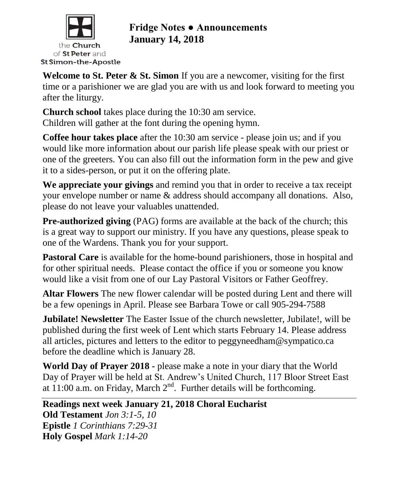

# **Fridge Notes ● Announcements January 14, 2018**

**Welcome to St. Peter & St. Simon** If you are a newcomer, visiting for the first time or a parishioner we are glad you are with us and look forward to meeting you after the liturgy.

**Church school** takes place during the 10:30 am service. Children will gather at the font during the opening hymn.

**Coffee hour takes place** after the 10:30 am service - please join us; and if you would like more information about our parish life please speak with our priest or one of the greeters. You can also fill out the information form in the pew and give it to a sides-person, or put it on the offering plate.

**We appreciate your givings** and remind you that in order to receive a tax receipt your envelope number or name & address should accompany all donations. Also, please do not leave your valuables unattended.

**Pre-authorized giving** (PAG) forms are available at the back of the church; this is a great way to support our ministry. If you have any questions, please speak to one of the Wardens. Thank you for your support.

Pastoral Care is available for the home-bound parishioners, those in hospital and for other spiritual needs. Please contact the office if you or someone you know would like a visit from one of our Lay Pastoral Visitors or Father Geoffrey.

**Altar Flowers** The new flower calendar will be posted during Lent and there will be a few openings in April. Please see Barbara Towe or call 905-294-7588

**Jubilate! Newsletter** The Easter Issue of the church newsletter, Jubilate!, will be published during the first week of Lent which starts February 14. Please address all articles, pictures and letters to the editor to peggyneedham@sympatico.ca before the deadline which is January 28.

**World Day of Prayer 2018 -** please make a note in your diary that the World Day of Prayer will be held at St. Andrew's United Church, 117 Bloor Street East at 11:00 a.m. on Friday, March  $2<sup>nd</sup>$ . Further details will be forthcoming.

**Readings next week January 21, 2018 Choral Eucharist Old Testament** *Jon 3:1-5, 10* **Epistle** *1 Corinthians 7:29-31* **Holy Gospel** *Mark 1:14-20*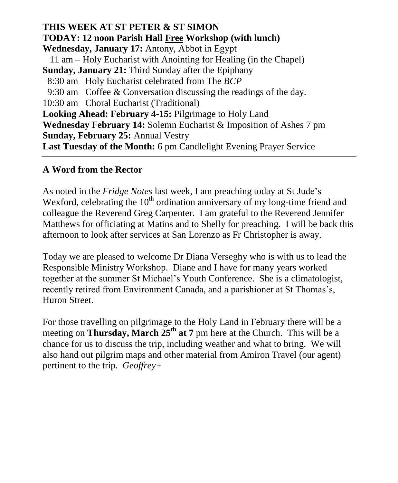### **THIS WEEK AT ST PETER & ST SIMON TODAY: 12 noon Parish Hall Free Workshop (with lunch) Wednesday, January 17:** Antony, Abbot in Egypt 11 am – Holy Eucharist with Anointing for Healing (in the Chapel) **Sunday, January 21:** Third Sunday after the Epiphany 8:30 am Holy Eucharist celebrated from The *BCP* 9:30 am Coffee & Conversation discussing the readings of the day. 10:30 am Choral Eucharist (Traditional) **Looking Ahead: February 4-15:** Pilgrimage to Holy Land **Wednesday February 14:** Solemn Eucharist & Imposition of Ashes 7 pm **Sunday, February 25:** Annual Vestry **Last Tuesday of the Month:** 6 pm Candlelight Evening Prayer Service

#### **A Word from the Rector**

As noted in the *Fridge Notes* last week, I am preaching today at St Jude's Wexford, celebrating the  $10<sup>th</sup>$  ordination anniversary of my long-time friend and colleague the Reverend Greg Carpenter. I am grateful to the Reverend Jennifer Matthews for officiating at Matins and to Shelly for preaching. I will be back this afternoon to look after services at San Lorenzo as Fr Christopher is away.

Today we are pleased to welcome Dr Diana Verseghy who is with us to lead the Responsible Ministry Workshop. Diane and I have for many years worked together at the summer St Michael's Youth Conference. She is a climatologist, recently retired from Environment Canada, and a parishioner at St Thomas's, Huron Street.

For those travelling on pilgrimage to the Holy Land in February there will be a meeting on **Thursday, March 25th at 7** pm here at the Church. This will be a chance for us to discuss the trip, including weather and what to bring. We will also hand out pilgrim maps and other material from Amiron Travel (our agent) pertinent to the trip. *Geoffrey+*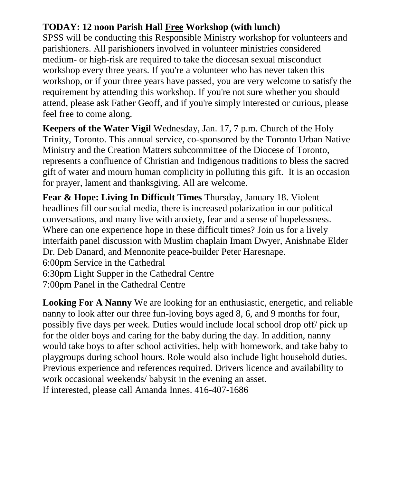## **TODAY: 12 noon Parish Hall Free Workshop (with lunch)**

SPSS will be conducting this Responsible Ministry workshop for volunteers and parishioners. All parishioners involved in volunteer ministries considered medium- or high-risk are required to take the diocesan sexual misconduct workshop every three years. If you're a volunteer who has never taken this workshop, or if your three years have passed, you are very welcome to satisfy the requirement by attending this workshop. If you're not sure whether you should attend, please ask Father Geoff, and if you're simply interested or curious, please feel free to come along.

**Keepers of the Water Vigil** Wednesday, Jan. 17, 7 p.m. Church of the Holy Trinity, Toronto. This annual service, co-sponsored by the Toronto Urban Native Ministry and the Creation Matters subcommittee of the Diocese of Toronto, represents a confluence of Christian and Indigenous traditions to bless the sacred gift of water and mourn human complicity in polluting this gift. It is an occasion for prayer, lament and thanksgiving. All are welcome.

**Fear & Hope: Living In Difficult Times** Thursday, January 18. Violent headlines fill our social media, there is increased polarization in our political conversations, and many live with anxiety, fear and a sense of hopelessness. Where can one experience hope in these difficult times? Join us for a lively interfaith panel discussion with Muslim chaplain Imam Dwyer, Anishnabe Elder Dr. Deb Danard, and Mennonite peace-builder Peter Haresnape. 6:00pm Service in the Cathedral 6:30pm Light Supper in the Cathedral Centre 7:00pm Panel in the Cathedral Centre

**Looking For A Nanny** We are looking for an enthusiastic, energetic, and reliable nanny to look after our three fun-loving boys aged 8, 6, and 9 months for four, possibly five days per week. Duties would include local school drop off/ pick up for the older boys and caring for the baby during the day. In addition, nanny would take boys to after school activities, help with homework, and take baby to playgroups during school hours. Role would also include light household duties. Previous experience and references required. Drivers licence and availability to work occasional weekends/ babysit in the evening an asset. If interested, please call Amanda Innes. 416-407-1686